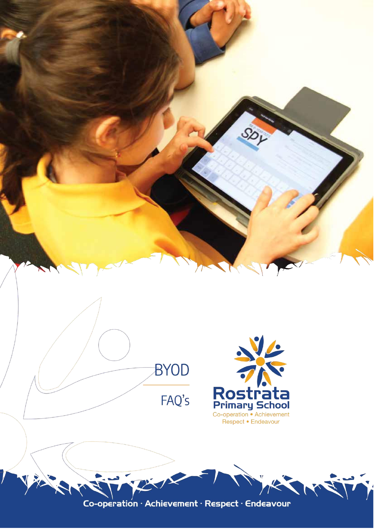

Co-operation · Achievement · Respect · Endeavour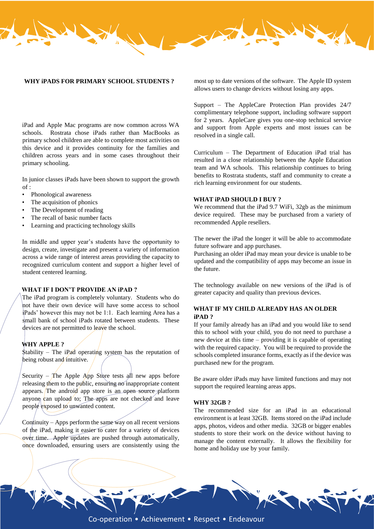#### **WHY iPADS FOR PRIMARY SCHOOL STUDENTS ?**

iPad and Apple Mac programs are now common across WA schools. Rostrata chose iPads rather than MacBooks as primary school children are able to complete most activities on this device and it provides continuity for the families and children across years and in some cases throughout their primary schooling.

In junior classes iPads have been shown to support the growth  $of:$ 

- Phonological awareness
- The acquisition of phonics
- The Development of reading
- The recall of basic number facts
- Learning and practicing technology skills

In middle and upper year's students have the opportunity to design, create, investigate and present a variety of information across a wide range of interest areas providing the capacity to recognized curriculum content and support a higher level of student centered learning.

### **WHAT IF I DON'T PROVIDE AN iPAD ?**

The iPad program is completely voluntary. Students who do not have their own device will have some access to school iPads' however this may not be 1:1. Each learning Area has a small bank of school iPads rotated between students. These devices are not permitted to leave the school.

#### **WHY APPLE ?**

 $$tability - The iPa'd operating system has the reputation of$ being robust and intuitive.

Security – The Apple App Store tests all new apps before releasing them to the public, ensuring no inappropriate content appears. The android app store is an open source platform anyone can upload to; The apps are not checked and leave people exposed to unwanted content.

Continuity – Apps perform the same way on all recent versions of the iPad, making it easier to cater for a variety of devices over time. Apple updates are pushed through automatically, once downloaded, ensuring users are consistently using the

most up to date versions of the software. The Apple ID system allows users to change devices without losing any apps.

Support – The AppleCare Protection Plan provides 24/7 complimentary telephone support, including software support for 2 years. AppleCare gives you one-stop technical service and support from Apple experts and most issues can be resolved in a single call.

Curriculum – The Department of Education iPad trial has resulted in a close relationship between the Apple Education team and WA schools. This relationship continues to bring benefits to Rostrata students, staff and community to create a rich learning environment for our students.

## **WHAT iPAD SHOULD I BUY ?**

We recommend that the iPad 9.7 WiFi, 32gb as the minimum device required. These may be purchased from a variety of recommended Apple resellers.

The newer the iPad the longer it will be able to accommodate future software and app purchases.

Purchasing an older iPad may mean your device is unable to be updated and the compatibility of apps may become an issue in the future.

The technology available on new versions of the iPad is of greater capacity and quality than previous devices.

# **WHAT IF MY CHILD ALREADY HAS AN OLDER iPAD ?**

If your family already has an iPad and you would like to send this to school with your child, you do not need to purchase a new device at this time – providing it is capable of operating with the required capacity. You will be required to provide the schools completed insurance forms, exactly as if the device was purchased new for the program.

Be aware older iPads may have limited functions and may not support the required learning areas apps.

#### **WHY 32GB ?**

The recommended size for an iPad in an educational environment is at least 32GB. Items stored on the iPad include apps, photos, videos and other media. 32GB or bigger enables students to store their work on the device without having to manage the content externally. It allows the flexibility for home and holiday use by your family.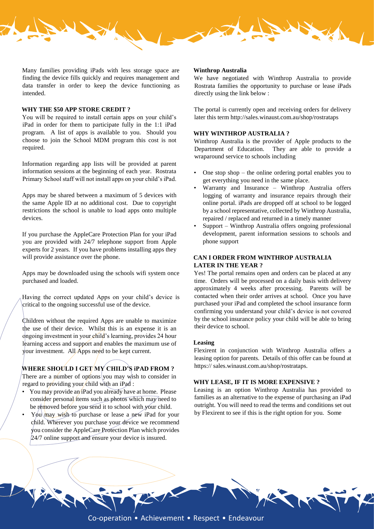

Many families providing iPads with less storage space are finding the device fills quickly and requires management and data transfer in order to keep the device functioning as intended.

#### **WHY THE \$50 APP STORE CREDIT ?**

You will be required to install certain apps on your child's iPad in order for them to participate fully in the 1:1 iPad program. A list of apps is available to you. Should you choose to join the School MDM program this cost is not required.

Information regarding app lists will be provided at parent information sessions at the beginning of each year. Rostrata Primary School staff will not install apps on your child's iPad.

Apps may be shared between a maximum of 5 devices with the same Apple ID at no additional cost. Due to copyright restrictions the school is unable to load apps onto multiple devices.

If you purchase the AppleCare Protection Plan for your iPad you are provided with 24/7 telephone support from Apple experts for 2 years. If you have problems installing apps they will provide assistance over the phone.

Apps may be downloaded using the schools wifi system once purchased and loaded.

Having the correct updated Apps on your child's device is critical to the ongoing successful use of the device.

Children without the required Apps are unable to maximize the use of their device. Whilst this is an expense it is an ongoing investment in your child's learning, provides 24 hour learning access and support and enables the maximum use of your investment. All Apps need to be kept current.

# **WHERE SHOULD I GET MY CHILD'S iPAD FROM ?**

There are a number of options you may wish to consider in regard to providing your/child with an  $iPad$ :

- You may provide an iPad you already have at home. Please consider personal items such as photos which may need to be removed before you send it to school with your child.
- You may wish to purchase or lease a new iPad for your child. Wherever you purchase your device we recommend you consider the AppleCare Protection Plan which provides 24/7 online support and ensure your device is insured.

#### **Winthrop Australia**

We have negotiated with Winthrop Australia to provide Rostrata families the opportunity to purchase or lease iPads directly using the link below :

The portal is currently open and receiving orders for delivery later this term http://sales.winaust.com.au/shop/rostrataps

## **WHY WINTHROP AUSTRALIA ?**

Winthrop Australia is the provider of Apple products to the Department of Education. They are able to provide a wraparound service to schools including

- One stop shop  $-$  the online ordering portal enables you to get everything you need in the same place.
- Warranty and Insurance Winthrop Australia offers logging of warranty and insurance repairs through their online portal. iPads are dropped off at school to be logged by a school representative, collected by Winthrop Australia, repaired / replaced and returned in a timely manner
- Support Winthrop Australia offers ongoing professional development, parent information sessions to schools and phone support

## **CAN I ORDER FROM WINTHROP AUSTRALIA LATER IN THE YEAR ?**

Yes! The portal remains open and orders can be placed at any time. Orders will be processed on a daily basis with delivery approximately 4 weeks after processing. Parents will be contacted when their order arrives at school. Once you have purchased your iPad and completed the school insurance form confirming you understand your child's device is not covered by the school insurance policy your child will be able to bring their device to school.

#### **Leasing**

Flexirent in conjunction with Winthrop Australia offers a leasing option for parents. Details of this offer can be found at https:// sales.winaust.com.au/shop/rostrataps.

### **WHY LEASE, IF IT IS MORE EXPENSIVE ?**

Leasing is an option Winthrop Australia has provided to families as an alternative to the expense of purchasing an iPad outright. You will need to read the terms and conditions set out by Flexirent to see if this is the right option for you. Some



Co-operation • Achievement • Respect • Endeavour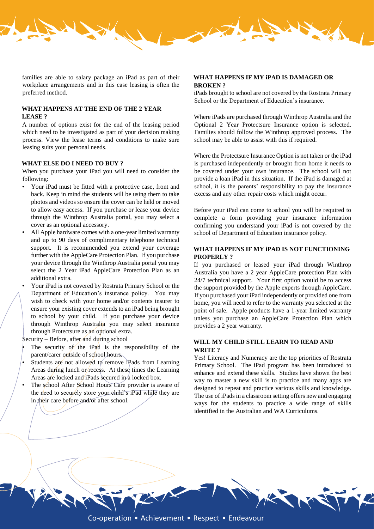

families are able to salary package an iPad as part of their workplace arrangements and in this case leasing is often the preferred method.

## **WHAT HAPPENS AT THE END OF THE 2 YEAR LEASE ?**

A number of options exist for the end of the leasing period which need to be investigated as part of your decision making process. View the lease terms and conditions to make sure leasing suits your personal needs.

#### **WHAT ELSE DO I NEED TO BUY ?**

When you purchase your iPad you will need to consider the following:

- Your iPad must be fitted with a protective case, front and back. Keep in mind the students will be using them to take photos and videos so ensure the cover can be held or moved to allow easy access. If you purchase or lease your device through the Winthrop Australia portal, you may select a cover as an optional accessory.
- All Apple hardware comes with a one-year limited warranty and up to 90 days of complimentary telephone technical support. It is recommended you extend your coverage further with the AppleCare Protection Plan. If you purchase your device through the Winthrop Australia portal you may select the 2 Year iPad AppleCare Protection Plan as an additional extra.
	- Your iPad is not covered by Rostrata Primary School or the Department of Education's insurance policy. You may wish to check with your home and/or contents insurer to ensure your existing cover extends to an iPad being brought to school by your child. If you purchase your device through Winthrop Australia you may select insurance through Protectsure as an optional extra.

Security – Before, after and during school

- The security of the iPad is the responsibility of the parent/carer outside of school hours.
- Students are not allowed to remove iPads from Learning Areas during lunch or/recess. At these times the Learning Areas are locked and iPads secured in a locked box.
- The school After School Hours Care provider is aware of the need to securely store your child's iPad while they are in their care before and/or after school.

### **WHAT HAPPENS IF MY iPAD IS DAMAGED OR BROKEN ?**

iPads brought to school are not covered by the Rostrata Primary School or the Department of Education's insurance.

Where iPads are purchased through Winthrop Australia and the Optional 2 Year Protectsure Insurance option is selected. Families should follow the Winthrop approved process. The school may be able to assist with this if required.

Where the Protectsure Insurance Option is not taken or the iPad is purchased independently or brought from home it needs to be covered under your own insurance. The school will not provide a loan iPad in this situation. If the iPad is damaged at school, it is the parents' responsibility to pay the insurance excess and any other repair costs which might occur.

Before your iPad can come to school you will be required to complete a form providing your insurance information confirming you understand your iPad is not covered by the school of Department of Education insurance policy.

## **WHAT HAPPENS IF MY iPAD IS NOT FUNCTIONING PROPERLY ?**

If you purchased or leased your iPad through Winthrop Australia you have a 2 year AppleCare protection Plan with 24/7 technical support. Your first option would be to access the support provided by the Apple experts through AppleCare. If you purchased your iPad independently or provided one from home, you will need to refer to the warranty you selected at the point of sale. Apple products have a 1-year limited warranty unless you purchase an AppleCare Protection Plan which provides a 2 year warranty.

## **WILL MY CHILD STILL LEARN TO READ AND WRITE ?**

Yes! Literacy and Numeracy are the top priorities of Rostrata Primary School. The iPad program has been introduced to enhance and extend these skills. Studies have shown the best way to master a new skill is to practice and many apps are designed to repeat and practice various skills and knowledge. The use of iPads in a classroom setting offers new and engaging ways for the students to practice a wide range of skills identified in the Australian and WA Curriculums.